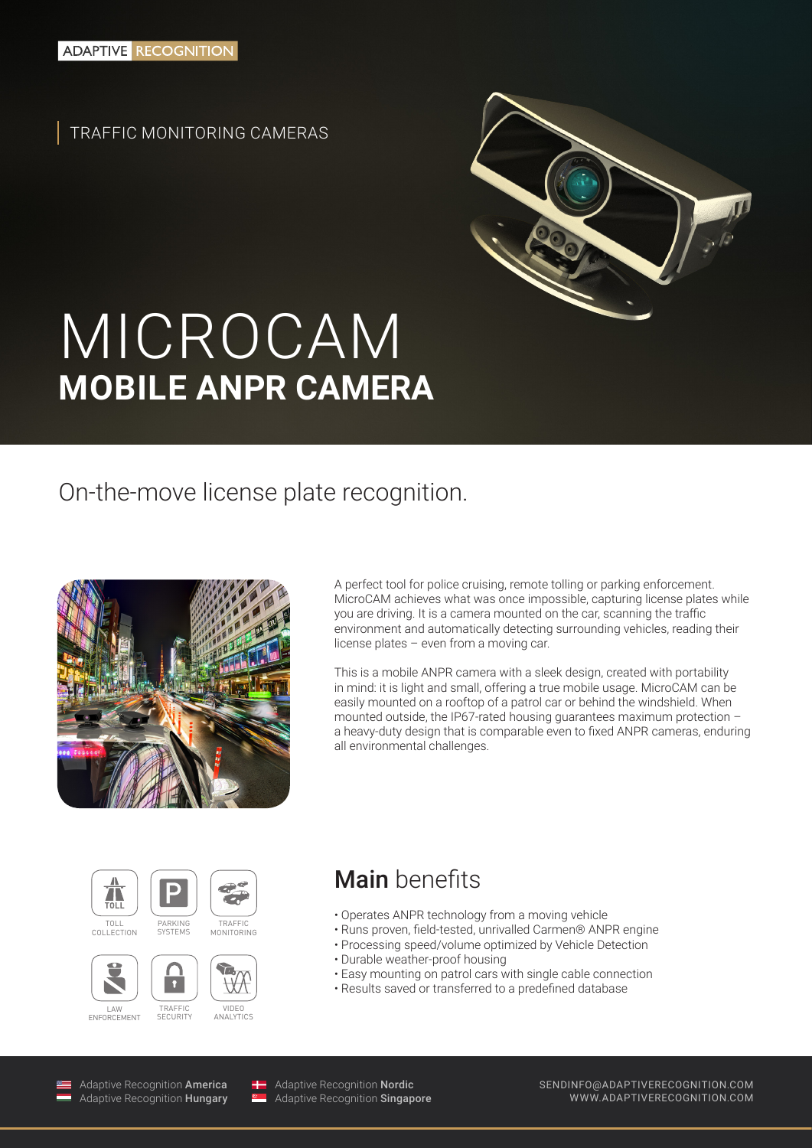TRAFFIC MONITORING CAMERAS



# MICROCAM **MOBILE ANPR CAMERA**

## On-the-move license plate recognition.



A perfect tool for police cruising, remote tolling or parking enforcement. MicroCAM achieves what was once impossible, capturing license plates while you are driving. It is a camera mounted on the car, scanning the traffic environment and automatically detecting surrounding vehicles, reading their license plates – even from a moving car.

This is a mobile ANPR camera with a sleek design, created with portability in mind: it is light and small, offering a true mobile usage. MicroCAM can be easily mounted on a rooftop of a patrol car or behind the windshield. When mounted outside, the IP67-rated housing guarantees maximum protection – a heavy-duty design that is comparable even to fixed ANPR cameras, enduring all environmental challenges.





#### **TRAFFIC** MONITORING



S  $\mathbf{r}$ 

**SYSTEMS** 

**SECURITY** 



Main benefits

- Operates ANPR technology from a moving vehicle
- Runs proven, field-tested, unrivalled Carmen® ANPR engine
- Processing speed/volume optimized by Vehicle Detection
- Durable weather-proof housing
- Easy mounting on patrol cars with single cable connection
- Results saved or transferred to a predefined database

Adaptive Recognition America Adaptive Recognition Hungary



Adaptive Recognition Nordic Adaptive Recognition **Singapore**  SENDINFO@ADAPTIVERECOGNITION.COM WWW.ADAPTIVERECOGNITION.COM